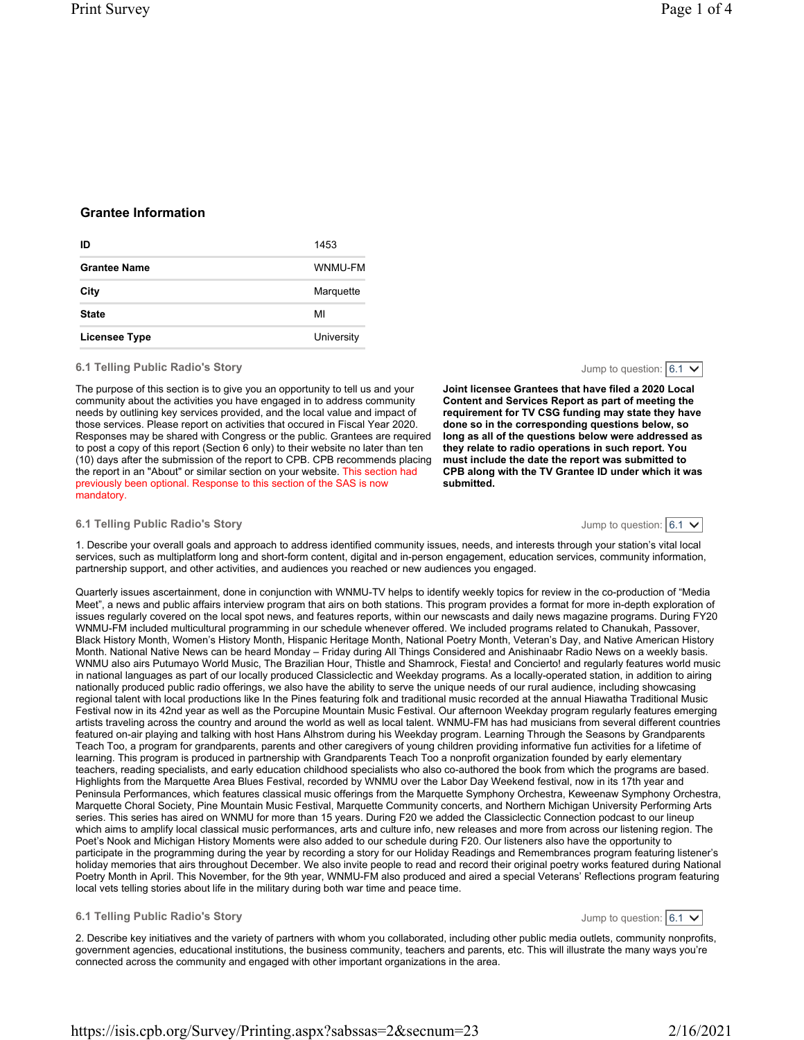# Grantee Information

| ID                  | 1453       |
|---------------------|------------|
| <b>Grantee Name</b> | WNMU-FM    |
| City                | Marquette  |
| <b>State</b>        | МΙ         |
| Licensee Type       | University |

#### 6.1 Telling Public Radio's Story

The purpose of this section is to give you an opportunity to tell us and your community about the activities you have engaged in to address community needs by outlining key services provided, and the local value and impact of those services. Please report on activities that occured in Fiscal Year 2020. Responses may be shared with Congress or the public. Grantees are required to post a copy of this report (Section 6 only) to their website no later than ten (10) days after the submission of the report to CPB. CPB recommends placing the report in an "About" or similar section on your website. This section had previously been optional. Response to this section of the SAS is now mandatory.

Joint licensee Grantees that have filed a 2020 Local Content and Services Report as part of meeting the requirement for TV CSG funding may state they have done so in the corresponding questions below, so long as all of the questions below were addressed as they relate to radio operations in such report. You must include the date the report was submitted to CPB along with the TV Grantee ID under which it was submitted.

#### 6.1 Telling Public Radio's Story

Jump to question:  $6.1 \times$ 

Jump to question:  $6.1 \vee$ 

Jump to question:  $6.1 \vee$ 

1. Describe your overall goals and approach to address identified community issues, needs, and interests through your station's vital local services, such as multiplatform long and short-form content, digital and in-person engagement, education services, community information, partnership support, and other activities, and audiences you reached or new audiences you engaged.

Quarterly issues ascertainment, done in conjunction with WNMU-TV helps to identify weekly topics for review in the co-production of "Media Meet", a news and public affairs interview program that airs on both stations. This program provides a format for more in-depth exploration of issues regularly covered on the local spot news, and features reports, within our newscasts and daily news magazine programs. During FY20 WNMU-FM included multicultural programming in our schedule whenever offered. We included programs related to Chanukah, Passover, Black History Month, Women's History Month, Hispanic Heritage Month, National Poetry Month, Veteran's Day, and Native American History Month. National Native News can be heard Monday – Friday during All Things Considered and Anishinaabr Radio News on a weekly basis. WNMU also airs Putumayo World Music, The Brazilian Hour, Thistle and Shamrock, Fiesta! and Concierto! and regularly features world music in national languages as part of our locally produced Classiclectic and Weekday programs. As a locally-operated station, in addition to airing nationally produced public radio offerings, we also have the ability to serve the unique needs of our rural audience, including showcasing regional talent with local productions like In the Pines featuring folk and traditional music recorded at the annual Hiawatha Traditional Music Festival now in its 42nd year as well as the Porcupine Mountain Music Festival. Our afternoon Weekday program regularly features emerging artists traveling across the country and around the world as well as local talent. WNMU-FM has had musicians from several different countries featured on-air playing and talking with host Hans Alhstrom during his Weekday program. Learning Through the Seasons by Grandparents Teach Too, a program for grandparents, parents and other caregivers of young children providing informative fun activities for a lifetime of learning. This program is produced in partnership with Grandparents Teach Too a nonprofit organization founded by early elementary teachers, reading specialists, and early education childhood specialists who also co-authored the book from which the programs are based. Highlights from the Marquette Area Blues Festival, recorded by WNMU over the Labor Day Weekend festival, now in its 17th year and Peninsula Performances, which features classical music offerings from the Marquette Symphony Orchestra, Keweenaw Symphony Orchestra, Marquette Choral Society, Pine Mountain Music Festival, Marquette Community concerts, and Northern Michigan University Performing Arts series. This series has aired on WNMU for more than 15 years. During F20 we added the Classiclectic Connection podcast to our lineup which aims to amplify local classical music performances, arts and culture info, new releases and more from across our listening region. The Poet's Nook and Michigan History Moments were also added to our schedule during F20. Our listeners also have the opportunity to participate in the programming during the year by recording a story for our Holiday Readings and Remembrances program featuring listener's holiday memories that airs throughout December. We also invite people to read and record their original poetry works featured during National Poetry Month in April. This November, for the 9th year, WNMU-FM also produced and aired a special Veterans' Reflections program featuring local vets telling stories about life in the military during both war time and peace time.

## 6.1 Telling Public Radio's Story

2. Describe key initiatives and the variety of partners with whom you collaborated, including other public media outlets, community nonprofits, government agencies, educational institutions, the business community, teachers and parents, etc. This will illustrate the many ways you're connected across the community and engaged with other important organizations in the area.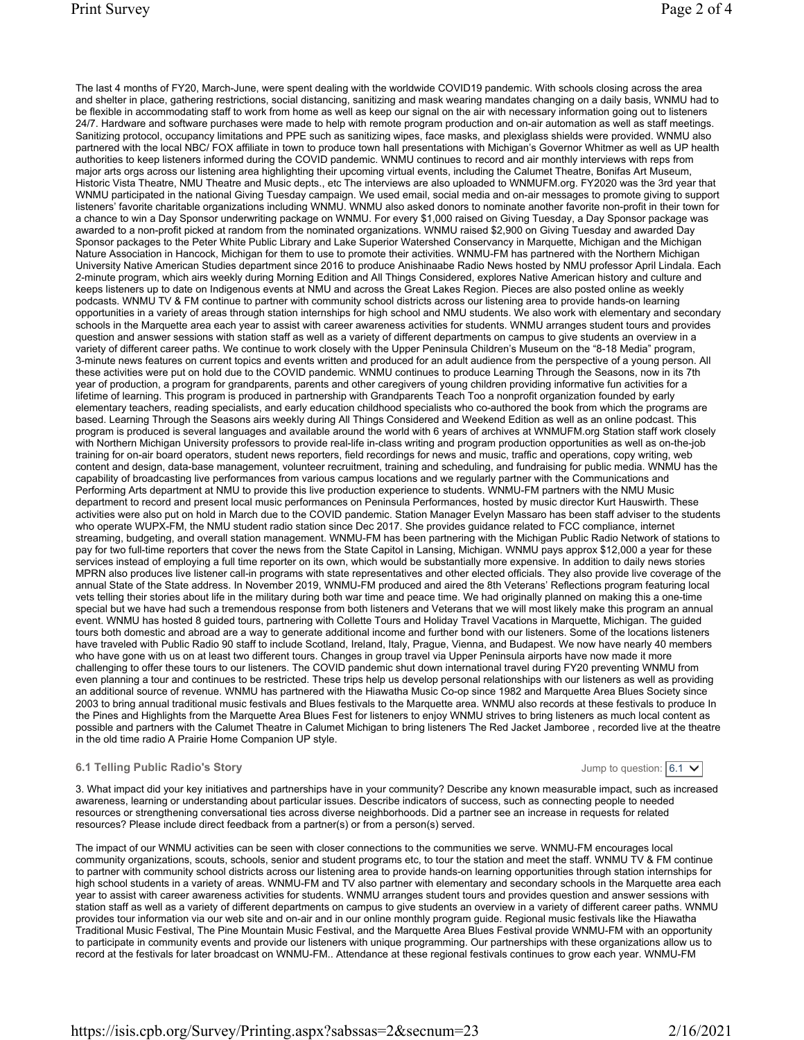The last 4 months of FY20, March-June, were spent dealing with the worldwide COVID19 pandemic. With schools closing across the area and shelter in place, gathering restrictions, social distancing, sanitizing and mask wearing mandates changing on a daily basis, WNMU had to be flexible in accommodating staff to work from home as well as keep our signal on the air with necessary information going out to listeners 24/7. Hardware and software purchases were made to help with remote program production and on-air automation as well as staff meetings. Sanitizing protocol, occupancy limitations and PPE such as sanitizing wipes, face masks, and plexiglass shields were provided. WNMU also partnered with the local NBC/ FOX affiliate in town to produce town hall presentations with Michigan's Governor Whitmer as well as UP health authorities to keep listeners informed during the COVID pandemic. WNMU continues to record and air monthly interviews with reps from major arts orgs across our listening area highlighting their upcoming virtual events, including the Calumet Theatre, Bonifas Art Museum, Historic Vista Theatre, NMU Theatre and Music depts., etc The interviews are also uploaded to WNMUFM.org. FY2020 was the 3rd year that WNMU participated in the national Giving Tuesday campaign. We used email, social media and on-air messages to promote giving to support listeners' favorite charitable organizations including WNMU. WNMU also asked donors to nominate another favorite non-profit in their town for a chance to win a Day Sponsor underwriting package on WNMU. For every \$1,000 raised on Giving Tuesday, a Day Sponsor package was awarded to a non-profit picked at random from the nominated organizations. WNMU raised \$2,900 on Giving Tuesday and awarded Day Sponsor packages to the Peter White Public Library and Lake Superior Watershed Conservancy in Marquette, Michigan and the Michigan Nature Association in Hancock, Michigan for them to use to promote their activities. WNMU-FM has partnered with the Northern Michigan University Native American Studies department since 2016 to produce Anishinaabe Radio News hosted by NMU professor April Lindala. Each 2-minute program, which airs weekly during Morning Edition and All Things Considered, explores Native American history and culture and keeps listeners up to date on Indigenous events at NMU and across the Great Lakes Region. Pieces are also posted online as weekly podcasts. WNMU TV & FM continue to partner with community school districts across our listening area to provide hands-on learning opportunities in a variety of areas through station internships for high school and NMU students. We also work with elementary and secondary schools in the Marquette area each year to assist with career awareness activities for students. WNMU arranges student tours and provides question and answer sessions with station staff as well as a variety of different departments on campus to give students an overview in a variety of different career paths. We continue to work closely with the Upper Peninsula Children's Museum on the "8-18 Media" program, 3-minute news features on current topics and events written and produced for an adult audience from the perspective of a young person. All these activities were put on hold due to the COVID pandemic. WNMU continues to produce Learning Through the Seasons, now in its 7th year of production, a program for grandparents, parents and other caregivers of young children providing informative fun activities for a lifetime of learning. This program is produced in partnership with Grandparents Teach Too a nonprofit organization founded by early elementary teachers, reading specialists, and early education childhood specialists who co-authored the book from which the programs are based. Learning Through the Seasons airs weekly during All Things Considered and Weekend Edition as well as an online podcast. This program is produced is several languages and available around the world with 6 years of archives at WNMUFM.org Station staff work closely with Northern Michigan University professors to provide real-life in-class writing and program production opportunities as well as on-the-job training for on-air board operators, student news reporters, field recordings for news and music, traffic and operations, copy writing, web content and design, data-base management, volunteer recruitment, training and scheduling, and fundraising for public media. WNMU has the capability of broadcasting live performances from various campus locations and we regularly partner with the Communications and Performing Arts department at NMU to provide this live production experience to students. WNMU-FM partners with the NMU Music department to record and present local music performances on Peninsula Performances, hosted by music director Kurt Hauswirth. These activities were also put on hold in March due to the COVID pandemic. Station Manager Evelyn Massaro has been staff adviser to the students who operate WUPX-FM, the NMU student radio station since Dec 2017. She provides guidance related to FCC compliance, internet streaming, budgeting, and overall station management. WNMU-FM has been partnering with the Michigan Public Radio Network of stations to pay for two full-time reporters that cover the news from the State Capitol in Lansing, Michigan. WNMU pays approx \$12,000 a year for these services instead of employing a full time reporter on its own, which would be substantially more expensive. In addition to daily news stories MPRN also produces live listener call-in programs with state representatives and other elected officials. They also provide live coverage of the annual State of the State address. In November 2019, WNMU-FM produced and aired the 8th Veterans' Reflections program featuring local vets telling their stories about life in the military during both war time and peace time. We had originally planned on making this a one-time special but we have had such a tremendous response from both listeners and Veterans that we will most likely make this program an annual event. WNMU has hosted 8 guided tours, partnering with Collette Tours and Holiday Travel Vacations in Marquette, Michigan. The guided tours both domestic and abroad are a way to generate additional income and further bond with our listeners. Some of the locations listeners have traveled with Public Radio 90 staff to include Scotland, Ireland, Italy, Prague, Vienna, and Budapest. We now have nearly 40 members who have gone with us on at least two different tours. Changes in group travel via Upper Peninsula airports have now made it more challenging to offer these tours to our listeners. The COVID pandemic shut down international travel during FY20 preventing WNMU from even planning a tour and continues to be restricted. These trips help us develop personal relationships with our listeners as well as providing an additional source of revenue. WNMU has partnered with the Hiawatha Music Co-op since 1982 and Marquette Area Blues Society since 2003 to bring annual traditional music festivals and Blues festivals to the Marquette area. WNMU also records at these festivals to produce In the Pines and Highlights from the Marquette Area Blues Fest for listeners to enjoy WNMU strives to bring listeners as much local content as possible and partners with the Calumet Theatre in Calumet Michigan to bring listeners The Red Jacket Jamboree , recorded live at the theatre in the old time radio A Prairie Home Companion UP style.

#### 6.1 Telling Public Radio's Story

Jump to question:  $6.1 \vee$ 

3. What impact did your key initiatives and partnerships have in your community? Describe any known measurable impact, such as increased awareness, learning or understanding about particular issues. Describe indicators of success, such as connecting people to needed resources or strengthening conversational ties across diverse neighborhoods. Did a partner see an increase in requests for related resources? Please include direct feedback from a partner(s) or from a person(s) served.

The impact of our WNMU activities can be seen with closer connections to the communities we serve. WNMU-FM encourages local community organizations, scouts, schools, senior and student programs etc, to tour the station and meet the staff. WNMU TV & FM continue to partner with community school districts across our listening area to provide hands-on learning opportunities through station internships for high school students in a variety of areas. WNMU-FM and TV also partner with elementary and secondary schools in the Marquette area each year to assist with career awareness activities for students. WNMU arranges student tours and provides question and answer sessions with station staff as well as a variety of different departments on campus to give students an overview in a variety of different career paths. WNMU provides tour information via our web site and on-air and in our online monthly program guide. Regional music festivals like the Hiawatha Traditional Music Festival, The Pine Mountain Music Festival, and the Marquette Area Blues Festival provide WNMU-FM with an opportunity to participate in community events and provide our listeners with unique programming. Our partnerships with these organizations allow us to record at the festivals for later broadcast on WNMU-FM.. Attendance at these regional festivals continues to grow each year. WNMU-FM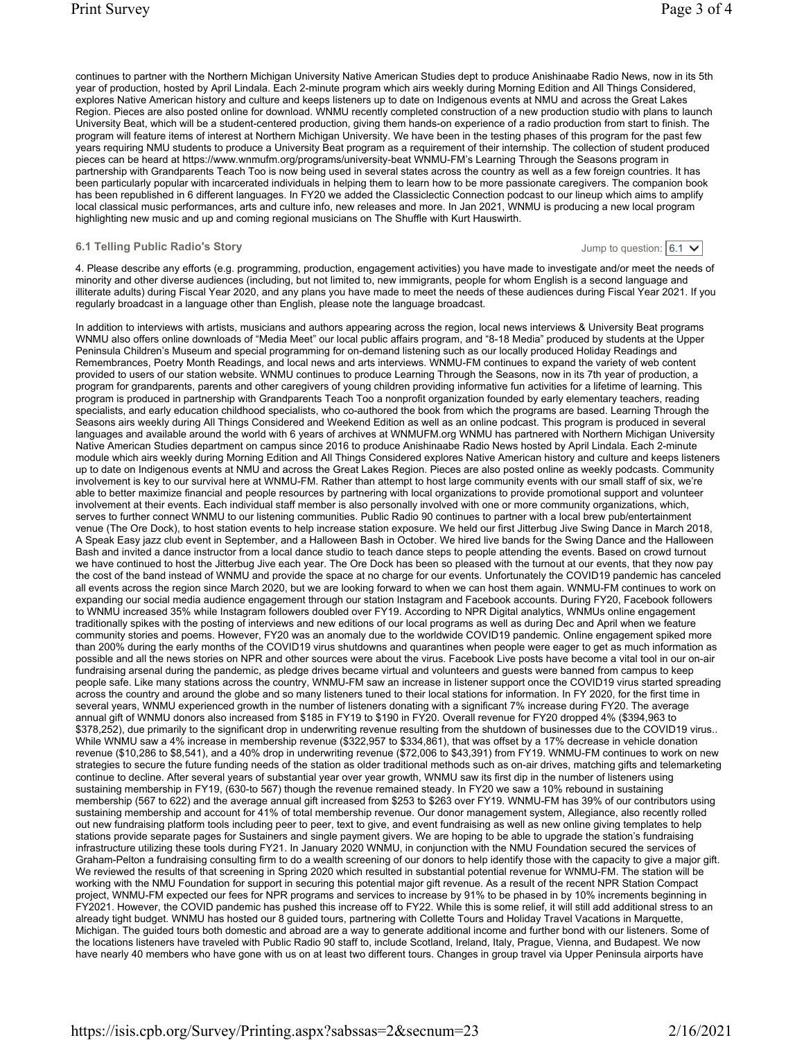continues to partner with the Northern Michigan University Native American Studies dept to produce Anishinaabe Radio News, now in its 5th year of production, hosted by April Lindala. Each 2-minute program which airs weekly during Morning Edition and All Things Considered, explores Native American history and culture and keeps listeners up to date on Indigenous events at NMU and across the Great Lakes Region. Pieces are also posted online for download. WNMU recently completed construction of a new production studio with plans to launch University Beat, which will be a student-centered production, giving them hands-on experience of a radio production from start to finish. The program will feature items of interest at Northern Michigan University. We have been in the testing phases of this program for the past few years requiring NMU students to produce a University Beat program as a requirement of their internship. The collection of student produced pieces can be heard at https://www.wnmufm.org/programs/university-beat WNMU-FM's Learning Through the Seasons program in partnership with Grandparents Teach Too is now being used in several states across the country as well as a few foreign countries. It has been particularly popular with incarcerated individuals in helping them to learn how to be more passionate caregivers. The companion book has been republished in 6 different languages. In FY20 we added the Classiclectic Connection podcast to our lineup which aims to amplify local classical music performances, arts and culture info, new releases and more. In Jan 2021, WNMU is producing a new local program highlighting new music and up and coming regional musicians on The Shuffle with Kurt Hauswirth.

#### 6.1 Telling Public Radio's Story

Jump to question:  $|6.1 \times$ 

4. Please describe any efforts (e.g. programming, production, engagement activities) you have made to investigate and/or meet the needs of minority and other diverse audiences (including, but not limited to, new immigrants, people for whom English is a second language and illiterate adults) during Fiscal Year 2020, and any plans you have made to meet the needs of these audiences during Fiscal Year 2021. If you regularly broadcast in a language other than English, please note the language broadcast.

In addition to interviews with artists, musicians and authors appearing across the region, local news interviews & University Beat programs WNMU also offers online downloads of "Media Meet" our local public affairs program, and "8-18 Media" produced by students at the Upper Peninsula Children's Museum and special programming for on-demand listening such as our locally produced Holiday Readings and Remembrances, Poetry Month Readings, and local news and arts interviews. WNMU-FM continues to expand the variety of web content provided to users of our station website. WNMU continues to produce Learning Through the Seasons, now in its 7th year of production, a program for grandparents, parents and other caregivers of young children providing informative fun activities for a lifetime of learning. This program is produced in partnership with Grandparents Teach Too a nonprofit organization founded by early elementary teachers, reading specialists, and early education childhood specialists, who co-authored the book from which the programs are based. Learning Through the Seasons airs weekly during All Things Considered and Weekend Edition as well as an online podcast. This program is produced in several languages and available around the world with 6 years of archives at WNMUFM.org WNMU has partnered with Northern Michigan University Native American Studies department on campus since 2016 to produce Anishinaabe Radio News hosted by April Lindala. Each 2-minute module which airs weekly during Morning Edition and All Things Considered explores Native American history and culture and keeps listeners up to date on Indigenous events at NMU and across the Great Lakes Region. Pieces are also posted online as weekly podcasts. Community involvement is key to our survival here at WNMU-FM. Rather than attempt to host large community events with our small staff of six, we're able to better maximize financial and people resources by partnering with local organizations to provide promotional support and volunteer involvement at their events. Each individual staff member is also personally involved with one or more community organizations, which, serves to further connect WNMU to our listening communities. Public Radio 90 continues to partner with a local brew pub/entertainment venue (The Ore Dock), to host station events to help increase station exposure. We held our first Jitterbug Jive Swing Dance in March 2018, A Speak Easy jazz club event in September, and a Halloween Bash in October. We hired live bands for the Swing Dance and the Halloween Bash and invited a dance instructor from a local dance studio to teach dance steps to people attending the events. Based on crowd turnout we have continued to host the Jitterbug Jive each year. The Ore Dock has been so pleased with the turnout at our events, that they now pay the cost of the band instead of WNMU and provide the space at no charge for our events. Unfortunately the COVID19 pandemic has canceled all events across the region since March 2020, but we are looking forward to when we can host them again. WNMU-FM continues to work on expanding our social media audience engagement through our station Instagram and Facebook accounts. During FY20, Facebook followers to WNMU increased 35% while Instagram followers doubled over FY19. According to NPR Digital analytics, WNMUs online engagement traditionally spikes with the posting of interviews and new editions of our local programs as well as during Dec and April when we feature community stories and poems. However, FY20 was an anomaly due to the worldwide COVID19 pandemic. Online engagement spiked more than 200% during the early months of the COVID19 virus shutdowns and quarantines when people were eager to get as much information as possible and all the news stories on NPR and other sources were about the virus. Facebook Live posts have become a vital tool in our on-air fundraising arsenal during the pandemic, as pledge drives became virtual and volunteers and guests were banned from campus to keep people safe. Like many stations across the country, WNMU-FM saw an increase in listener support once the COVID19 virus started spreading across the country and around the globe and so many listeners tuned to their local stations for information. In FY 2020, for the first time in several years, WNMU experienced growth in the number of listeners donating with a significant 7% increase during FY20. The average annual gift of WNMU donors also increased from \$185 in FY19 to \$190 in FY20. Overall revenue for FY20 dropped 4% (\$394,963 to \$378,252), due primarily to the significant drop in underwriting revenue resulting from the shutdown of businesses due to the COVID19 virus.. While WNMU saw a 4% increase in membership revenue (\$322,957 to \$334,861), that was offset by a 17% decrease in vehicle donation revenue (\$10,286 to \$8,541), and a 40% drop in underwriting revenue (\$72,006 to \$43,391) from FY19. WNMU-FM continues to work on new strategies to secure the future funding needs of the station as older traditional methods such as on-air drives, matching gifts and telemarketing continue to decline. After several years of substantial year over year growth, WNMU saw its first dip in the number of listeners using sustaining membership in FY19, (630-to 567) though the revenue remained steady. In FY20 we saw a 10% rebound in sustaining membership (567 to 622) and the average annual gift increased from \$253 to \$263 over FY19. WNMU-FM has 39% of our contributors using sustaining membership and account for 41% of total membership revenue. Our donor management system, Allegiance, also recently rolled out new fundraising platform tools including peer to peer, text to give, and event fundraising as well as new online giving templates to help stations provide separate pages for Sustainers and single payment givers. We are hoping to be able to upgrade the station's fundraising infrastructure utilizing these tools during FY21. In January 2020 WNMU, in conjunction with the NMU Foundation secured the services of Graham-Pelton a fundraising consulting firm to do a wealth screening of our donors to help identify those with the capacity to give a major gift. We reviewed the results of that screening in Spring 2020 which resulted in substantial potential revenue for WNMU-FM. The station will be working with the NMU Foundation for support in securing this potential major gift revenue. As a result of the recent NPR Station Compact project, WNMU-FM expected our fees for NPR programs and services to increase by 91% to be phased in by 10% increments beginning in FY2021. However, the COVID pandemic has pushed this increase off to FY22. While this is some relief, it will still add additional stress to an already tight budget. WNMU has hosted our 8 guided tours, partnering with Collette Tours and Holiday Travel Vacations in Marquette, Michigan. The guided tours both domestic and abroad are a way to generate additional income and further bond with our listeners. Some of the locations listeners have traveled with Public Radio 90 staff to, include Scotland, Ireland, Italy, Prague, Vienna, and Budapest. We now have nearly 40 members who have gone with us on at least two different tours. Changes in group travel via Upper Peninsula airports have